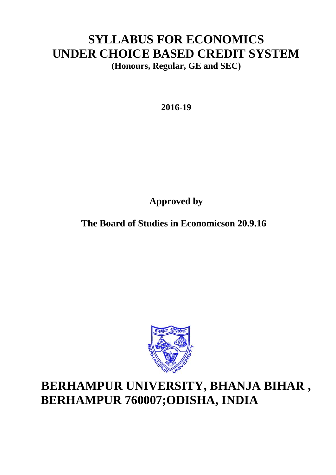# **SYLLABUS FOR ECONOMICS UNDER CHOICE BASED CREDIT SYSTEM (Honours, Regular, GE and SEC)**

**2016-19**

**Approved by**

**The Board of Studies in Economicson 20.9.16**



# **BERHAMPUR UNIVERSITY, BHANJA BIHAR , BERHAMPUR 760007;ODISHA, INDIA**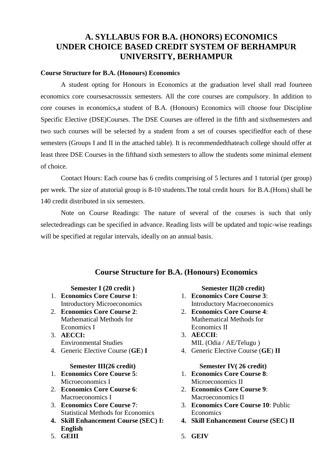# **A. SYLLABUS FOR B.A. (HONORS) ECONOMICS UNDER CHOICE BASED CREDIT SYSTEM OF BERHAMPUR UNIVERSITY, BERHAMPUR**

#### **Course Structure for B.A. (Honours) Economics**

A student opting for Honours in Economics at the graduation level shall read fourteen economics core coursesacrosssix semesters. All the core courses are compulsory. In addition to core courses in economics,a student of B.A. (Honours) Economics will choose four Discipline Specific Elective (DSE)Courses. The DSE Courses are offered in the fifth and sixthsemesters and two such courses will be selected by a student from a set of courses specifiedfor each of these semesters (Groups I and II in the attached table). It is recommendedthateach college should offer at least three DSE Courses in the fifthand sixth semesters to allow the students some minimal element of choice.

Contact Hours: Each course has 6 credits comprising of 5 lectures and 1 tutorial (per group) per week. The size of atutorial group is 8-10 students.The total credit hours for B.A.(Hons) shall be 140 credit distributed in six semesters.

Note on Course Readings: The nature of several of the courses is such that only selectedreadings can be specified in advance. Reading lists will be updated and topic-wise readings will be specified at regular intervals, ideally on an annual basis.

### **Course Structure for B.A. (Honours) Economics**

- 1. **Economics Core Course 1**: Introductory Microeconomics
- 2. **Economics Core Course 2**: Mathematical Methods for Economics I
- 3. **AECCI:**  Environmental Studies
- 4. Generic Elective Course (**GE**) **I**

#### **Semester III(26 credit) Semester IV( 26 credit)**

- 1. **Economics Core Course 5**: Microeconomics I
- 2. **Economics Core Course 6**: Macroeconomics I
- 3. **Economics Core Course 7**: Statistical Methods for Economics
- **4. Skill Enhancement Course (SEC) I: English**
- 5. **GEIII**

**Semester I (20 credit ) Semester II(20 credit)**

- 1. **Economics Core Course 3**: Introductory Macroeconomics
- 2. **Economics Core Course 4**: Mathematical Methods for Economics II
- 3. **AECCII**: MIL (Odia / AE/Telugu )
- 4. Generic Elective Course (**GE**) **II**

- 1. **Economics Core Course 8**: Microeconomics II
- 2. **Economics Core Course 9**: Macroeconomics II
- 3. **Economics Core Course 10**: Public Economics
- **4. Skill Enhancement Course (SEC) II**
- 5. **GEIV**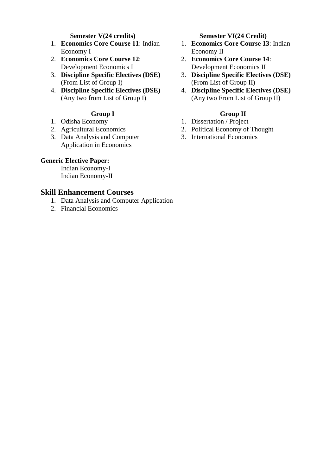- 1. **Economics Core Course 11**: Indian Economy I
- 2. **Economics Core Course 12**: Development Economics I
- 3. **Discipline Specific Electives (DSE)**  (From List of Group I)
- 4. **Discipline Specific Electives (DSE)**  (Any two from List of Group I)

- 1. Odisha Economy
- 2. Agricultural Economics
- 3. Data Analysis and Computer Application in Economics

### **Generic Elective Paper:**

Indian Economy-I Indian Economy-II

### **Skill Enhancement Courses**

- 1. Data Analysis and Computer Application
- 2. Financial Economics

#### **Semester V(24 credits) Semester VI(24 Credit)**

- 1. **Economics Core Course 13**: Indian Economy II
- 2. **Economics Core Course 14**: Development Economics II
- 3. **Discipline Specific Electives (DSE)**  (From List of Group II)
- 4. **Discipline Specific Electives (DSE)**  (Any two From List of Group II)

## **Group I Group II**

- 1. Dissertation / Project
- 2. Political Economy of Thought
- 3. International Economics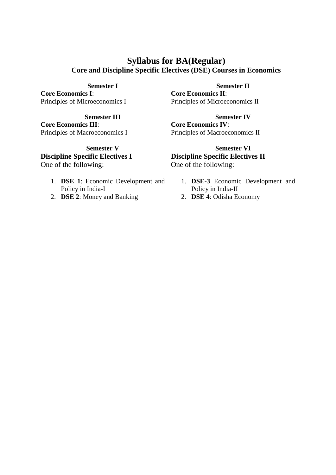# **Syllabus for BA(Regular) Core and Discipline Specific Electives (DSE) Courses in Economics**

**Core Economics I**: Principles of Microeconomics I

**Core Economics III**: Principles of Macroeconomics I

**Discipline Specific Electives I** One of the following:

- 1. **DSE 1**: Economic Development and Policy in India-I
- 2. **DSE 2**: Money and Banking

**Semester I Semester II Core Economics II**: Principles of Microeconomics II

**Semester III Semester IV Core Economics IV**: Principles of Macroeconomics II

**Semester V Semester VI Discipline Specific Electives II** One of the following:

- 1. **DSE-3** Economic Development and Policy in India-II
- 2. **DSE 4**: Odisha Economy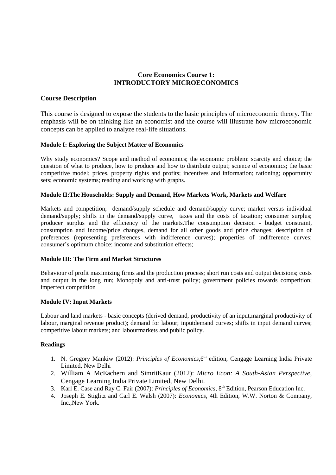### **Core Economics Course 1: INTRODUCTORY MICROECONOMICS**

#### **Course Description**

This course is designed to expose the students to the basic principles of microeconomic theory. The emphasis will be on thinking like an economist and the course will illustrate how microeconomic concepts can be applied to analyze real-life situations.

#### **Module I: Exploring the Subject Matter of Economics**

Why study economics? Scope and method of economics; the economic problem: scarcity and choice; the question of what to produce, how to produce and how to distribute output; science of economics; the basic competitive model; prices, property rights and profits; incentives and information; rationing; opportunity sets; economic systems; reading and working with graphs.

#### **Module II:The Households: Supply and Demand, How Markets Work, Markets and Welfare**

Markets and competition; demand/supply schedule and demand/supply curve; market versus individual demand/supply; shifts in the demand/supply curve, taxes and the costs of taxation; consumer surplus; producer surplus and the efficiency of the markets.The consumption decision - budget constraint, consumption and income/price changes, demand for all other goods and price changes; description of preferences (representing preferences with indifference curves); properties of indifference curves; consumer's optimum choice; income and substitution effects;

#### **Module III: The Firm and Market Structures**

Behaviour of profit maximizing firms and the production process; short run costs and output decisions; costs and output in the long run; Monopoly and anti-trust policy; government policies towards competition; imperfect competition

#### **Module IV: Input Markets**

Labour and land markets - basic concepts (derived demand, productivity of an input,marginal productivity of labour, marginal revenue product); demand for labour; inputdemand curves; shifts in input demand curves; competitive labour markets; and labourmarkets and public policy.

- 1. N. Gregory Mankiw (2012): *Principles of Economics*, 6<sup>th</sup> edition, Cengage Learning India Private Limited, New Delhi
- 2. William A McEachern and SimritKaur (2012): *Micro Econ: A South-Asian Perspective*, Cengage Learning India Private Limited, New Delhi.
- 3. Karl E. Case and Ray C. Fair (2007): *Principles of Economics*, 8<sup>th</sup> Edition, Pearson Education Inc.
- 4. Joseph E. Stiglitz and Carl E. Walsh (2007): *Economics*, 4th Edition, W.W. Norton & Company, Inc.,New York.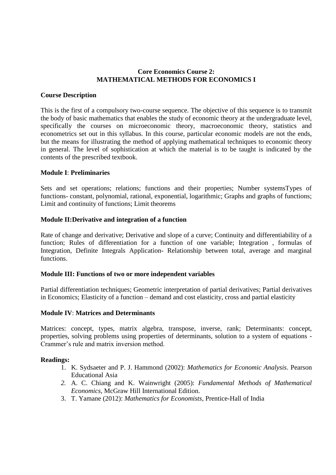#### **Core Economics Course 2: MATHEMATICAL METHODS FOR ECONOMICS I**

#### **Course Description**

This is the first of a compulsory two-course sequence. The objective of this sequence is to transmit the body of basic mathematics that enables the study of economic theory at the undergraduate level, specifically the courses on microeconomic theory, macroeconomic theory, statistics and econometrics set out in this syllabus. In this course, particular economic models are not the ends, but the means for illustrating the method of applying mathematical techniques to economic theory in general. The level of sophistication at which the material is to be taught is indicated by the contents of the prescribed textbook.

#### **Module I**: **Preliminaries**

Sets and set operations; relations; functions and their properties; Number systemsTypes of functions- constant, polynomial, rational, exponential, logarithmic; Graphs and graphs of functions; Limit and continuity of functions; Limit theorems

#### **Module II:Derivative and integration of a function**

Rate of change and derivative; Derivative and slope of a curve; Continuity and differentiability of a function; Rules of differentiation for a function of one variable; Integration , formulas of Integration, Definite Integrals Application- Relationship between total, average and marginal functions.

#### **Module III: Functions of two or more independent variables**

Partial differentiation techniques; Geometric interpretation of partial derivatives; Partial derivatives in Economics; Elasticity of a function – demand and cost elasticity, cross and partial elasticity

#### **Module IV**: **Matrices and Determinants**

Matrices: concept, types, matrix algebra, transpose, inverse, rank; Determinants: concept, properties, solving problems using properties of determinants, solution to a system of equations - Crammer's rule and matrix inversion method.

- 1. K. Sydsaeter and P. J. Hammond (2002): *Mathematics for Economic Analysis*. Pearson Educational Asia
- *2.* A. C. Chiang and K. Wainwright (2005): *Fundamental Methods of Mathematical Economics*, McGraw Hill International Edition.
- 3. T. Yamane (2012): *Mathematics for Economists*, Prentice-Hall of India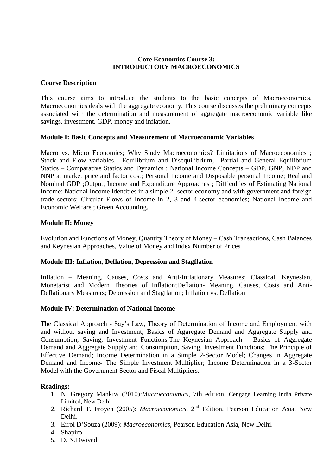#### **Core Economics Course 3: INTRODUCTORY MACROECONOMICS**

#### **Course Description**

This course aims to introduce the students to the basic concepts of Macroeconomics. Macroeconomics deals with the aggregate economy. This course discusses the preliminary concepts associated with the determination and measurement of aggregate macroeconomic variable like savings, investment, GDP, money and inflation.

#### **Module I: Basic Concepts and Measurement of Macroeconomic Variables**

Macro vs. Micro Economics; Why Study Macroeconomics? Limitations of Macroeconomics ; Stock and Flow variables, Equilibrium and Disequilibrium, Partial and General Equilibrium Statics – Comparative Statics and Dynamics ; National Income Concepts – GDP, GNP, NDP and NNP at market price and factor cost; Personal Income and Disposable personal Income; Real and Nominal GDP ;Output, Income and Expenditure Approaches ; Difficulties of Estimating National Income; National Income Identities in a simple 2- sector economy and with government and foreign trade sectors; Circular Flows of Income in 2, 3 and 4-sector economies; National Income and Economic Welfare ; Green Accounting.

#### **Module II: Money**

Evolution and Functions of Money, Quantity Theory of Money – Cash Transactions, Cash Balances and Keynesian Approaches, Value of Money and Index Number of Prices

#### **Module III: Inflation, Deflation, Depression and Stagflation**

Inflation – Meaning, Causes, Costs and Anti-Inflationary Measures; Classical, Keynesian, Monetarist and Modern Theories of Inflation;Deflation- Meaning, Causes, Costs and Anti-Deflationary Measurers; Depression and Stagflation; Inflation vs. Deflation

#### **Module IV: Determination of National Income**

The Classical Approach - Say"s Law, Theory of Determination of Income and Employment with and without saving and Investment; Basics of Aggregate Demand and Aggregate Supply and Consumption, Saving, Investment Functions;The Keynesian Approach – Basics of Aggregate Demand and Aggregate Supply and Consumption, Saving, Investment Functions; The Principle of Effective Demand; Income Determination in a Simple 2-Sector Model; Changes in Aggregate Demand and Income- The Simple Investment Multiplier; Income Determination in a 3-Sector Model with the Government Sector and Fiscal Multipliers.

- 1. N. Gregory Mankiw (2010):*Macroeconomics*, 7th edition, Cengage Learning India Private Limited, New Delhi
- 2. Richard T. Froyen (2005): *Macroeconomics*, 2nd Edition, Pearson Education Asia, New Delhi.
- 3. Errol D"Souza (2009): *Macroeconomics*, Pearson Education Asia, New Delhi.
- 4. Shapiro
- 5. D. N.Dwivedi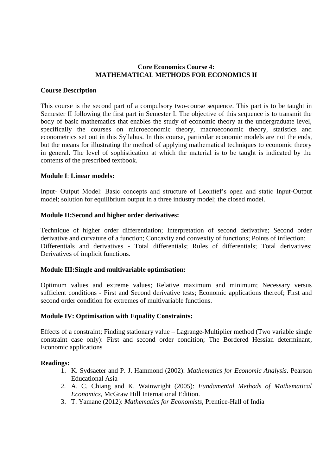#### **Core Economics Course 4: MATHEMATICAL METHODS FOR ECONOMICS II**

#### **Course Description**

This course is the second part of a compulsory two-course sequence. This part is to be taught in Semester II following the first part in Semester I. The objective of this sequence is to transmit the body of basic mathematics that enables the study of economic theory at the undergraduate level, specifically the courses on microeconomic theory, macroeconomic theory, statistics and econometrics set out in this Syllabus. In this course, particular economic models are not the ends, but the means for illustrating the method of applying mathematical techniques to economic theory in general. The level of sophistication at which the material is to be taught is indicated by the contents of the prescribed textbook.

#### **Module I**: **Linear models:**

Input- Output Model: Basic concepts and structure of Leontief"s open and static Input-Output model; solution for equilibrium output in a three industry model; the closed model.

#### **Module II:Second and higher order derivatives:**

Technique of higher order differentiation; Interpretation of second derivative; Second order derivative and curvature of a function; Concavity and convexity of functions; Points of inflection; Differentials and derivatives - Total differentials; Rules of differentials; Total derivatives; Derivatives of implicit functions.

#### **Module III:Single and multivariable optimisation:**

Optimum values and extreme values; Relative maximum and minimum; Necessary versus sufficient conditions - First and Second derivative tests; Economic applications thereof; First and second order condition for extremes of multivariable functions.

#### **Module IV: Optimisation with Equality Constraints:**

Effects of a constraint; Finding stationary value – Lagrange-Multiplier method (Two variable single constraint case only): First and second order condition; The Bordered Hessian determinant, Economic applications

- 1. K. Sydsaeter and P. J. Hammond (2002): *Mathematics for Economic Analysis*. Pearson Educational Asia
- *2.* A. C. Chiang and K. Wainwright (2005): *Fundamental Methods of Mathematical Economics*, McGraw Hill International Edition.
- 3. T. Yamane (2012): *Mathematics for Economists*, Prentice-Hall of India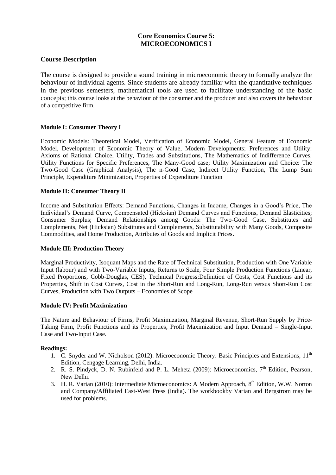# **Core Economics Course 5: MICROECONOMICS I**

#### **Course Description**

The course is designed to provide a sound training in microeconomic theory to formally analyze the behaviour of individual agents. Since students are already familiar with the quantitative techniques in the previous semesters, mathematical tools are used to facilitate understanding of the basic concepts; this course looks at the behaviour of the consumer and the producer and also covers the behaviour of a competitive firm.

#### **Module I: Consumer Theory I**

Economic Models: Theoretical Model, Verification of Economic Model, General Feature of Economic Model, Development of Economic Theory of Value, Modern Developments; Preferences and Utility: Axioms of Rational Choice, Utility, Trades and Substitutions, The Mathematics of Indifference Curves, Utility Functions for Specific Preferences, The Many-Good case; Utility Maximization and Choice: The Two-Good Case (Graphical Analysis), The n-Good Case, Indirect Utility Function, The Lump Sum Principle, Expenditure Minimization, Properties of Expenditure Function

#### **Module II: Consumer Theory II**

Income and Substitution Effects: Demand Functions, Changes in Income, Changes in a Good"s Price, The Individual"s Demand Curve, Compensated (Hicksian) Demand Curves and Functions, Demand Elasticities; Consumer Surplus; Demand Relationships among Goods: The Two-Good Case, Substitutes and Complements, Net (Hicksian) Substitutes and Complements, Substitutability with Many Goods, Composite Commodities, and Home Production, Attributes of Goods and Implicit Prices.

#### **Module III: Production Theory**

Marginal Productivity, Isoquant Maps and the Rate of Technical Substitution, Production with One Variable Input (labour) and with Two-Variable Inputs, Returns to Scale, Four Simple Production Functions (Linear, Fixed Proportions, Cobb-Douglas, CES), Technical Progress;Definition of Costs, Cost Functions and its Properties, Shift in Cost Curves, Cost in the Short-Run and Long-Run, Long-Run versus Short-Run Cost Curves, Production with Two Outputs – Economies of Scope

#### **Module IV: Profit Maximization**

The Nature and Behaviour of Firms, Profit Maximization, Marginal Revenue, Short-Run Supply by Price-Taking Firm, Profit Functions and its Properties, Profit Maximization and Input Demand – Single-Input Case and Two-Input Case.

- 1. C. Snyder and W. Nicholson (2012): Microeconomic Theory: Basic Principles and Extensions,  $11<sup>th</sup>$ Edition, Cengage Learning, Delhi, India.
- 2. R. S. Pindyck, D. N. Rubinfeld and P. L. Meheta (2009): Microeconomics,  $7<sup>th</sup>$  Edition, Pearson, New Delhi.
- 3. H. R. Varian (2010): Intermediate Microeconomics: A Modern Approach, 8<sup>th</sup> Edition, W.W. Norton and Company/Affiliated East-West Press (India). The workbookby Varian and Bergstrom may be used for problems.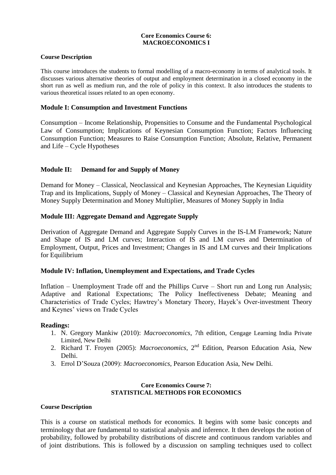#### **Core Economics Course 6: MACROECONOMICS I**

#### **Course Description**

This course introduces the students to formal modelling of a macro-economy in terms of analytical tools. It discusses various alternative theories of output and employment determination in a closed economy in the short run as well as medium run, and the role of policy in this context. It also introduces the students to various theoretical issues related to an open economy.

#### **Module I: Consumption and Investment Functions**

Consumption – Income Relationship, Propensities to Consume and the Fundamental Psychological Law of Consumption; Implications of Keynesian Consumption Function; Factors Influencing Consumption Function; Measures to Raise Consumption Function; Absolute, Relative, Permanent and Life – Cycle Hypotheses

#### **Module II: Demand for and Supply of Money**

Demand for Money – Classical, Neoclassical and Keynesian Approaches, The Keynesian Liquidity Trap and its Implications, Supply of Money – Classical and Keynesian Approaches, The Theory of Money Supply Determination and Money Multiplier, Measures of Money Supply in India

#### **Module III: Aggregate Demand and Aggregate Supply**

Derivation of Aggregate Demand and Aggregate Supply Curves in the IS-LM Framework; Nature and Shape of IS and LM curves; Interaction of IS and LM curves and Determination of Employment, Output, Prices and Investment; Changes in IS and LM curves and their Implications for Equilibrium

#### **Module IV: Inflation, Unemployment and Expectations, and Trade Cycles**

Inflation – Unemployment Trade off and the Phillips Curve – Short run and Long run Analysis; Adaptive and Rational Expectations; The Policy Ineffectiveness Debate; Meaning and Characteristics of Trade Cycles; Hawtrey"s Monetary Theory, Hayek"s Over-investment Theory and Keynes" views on Trade Cycles

#### **Readings:**

- 1. N. Gregory Mankiw (2010): *Macroeconomics*, 7th edition, Cengage Learning India Private Limited, New Delhi
- 2. Richard T. Froyen (2005): *Macroeconomics*, 2nd Edition, Pearson Education Asia, New Delhi.
- 3. Errol D"Souza (2009): *Macroeconomics*, Pearson Education Asia, New Delhi.

#### **Core Economics Course 7: STATISTICAL METHODS FOR ECONOMICS**

#### **Course Description**

This is a course on statistical methods for economics. It begins with some basic concepts and terminology that are fundamental to statistical analysis and inference. It then develops the notion of probability, followed by probability distributions of discrete and continuous random variables and of joint distributions. This is followed by a discussion on sampling techniques used to collect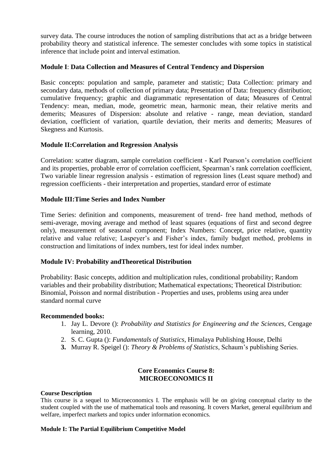survey data. The course introduces the notion of sampling distributions that act as a bridge between probability theory and statistical inference. The semester concludes with some topics in statistical inference that include point and interval estimation.

#### **Module I**: **Data Collection and Measures of Central Tendency and Dispersion**

Basic concepts: population and sample, parameter and statistic; Data Collection: primary and secondary data, methods of collection of primary data; Presentation of Data: frequency distribution; cumulative frequency; graphic and diagrammatic representation of data; Measures of Central Tendency: mean, median, mode, geometric mean, harmonic mean, their relative merits and demerits; Measures of Dispersion: absolute and relative - range, mean deviation, standard deviation, coefficient of variation, quartile deviation, their merits and demerits; Measures of Skegness and Kurtosis.

#### **Module II:Correlation and Regression Analysis**

Correlation: scatter diagram, sample correlation coefficient - Karl Pearson"s correlation coefficient and its properties, probable error of correlation coefficient, Spearman"s rank correlation coefficient, Two variable linear regression analysis - estimation of regression lines (Least square method) and regression coefficients - their interpretation and properties, standard error of estimate

#### **Module III:Time Series and Index Number**

Time Series: definition and components, measurement of trend- free hand method, methods of semi-average, moving average and method of least squares (equations of first and second degree only), measurement of seasonal component; Index Numbers: Concept, price relative, quantity relative and value relative; Laspeyer's and Fisher's index, family budget method, problems in construction and limitations of index numbers, test for ideal index number.

#### **Module IV: Probability andTheoretical Distribution**

Probability: Basic concepts, addition and multiplication rules, conditional probability; Random variables and their probability distribution; Mathematical expectations; Theoretical Distribution: Binomial, Poisson and normal distribution - Properties and uses, problems using area under standard normal curve

#### **Recommended books:**

- 1. Jay L. Devore (): *Probability and Statistics for Engineering and the Sciences,* Cengage learning, 2010.
- 2. S. C. Gupta (): *Fundamentals of Statistics*, Himalaya Publishing House, Delhi
- **3.** Murray R. Speigel (): *Theory & Problems of Statistics*, Schaum"s publishing Series.

#### **Core Economics Course 8: MICROECONOMICS II**

#### **Course Description**

This course is a sequel to Microeconomics I. The emphasis will be on giving conceptual clarity to the student coupled with the use of mathematical tools and reasoning. It covers Market, general equilibrium and welfare, imperfect markets and topics under information economics.

#### **Module I: The Partial Equilibrium Competitive Model**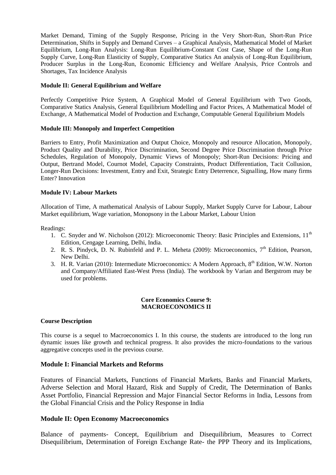Market Demand, Timing of the Supply Response, Pricing in the Very Short-Run, Short-Run Price Determination, Shifts in Supply and Demand Curves – a Graphical Analysis, Mathematical Model of Market Equilibrium, Long-Run Analysis: Long-Run Equilibrium-Constant Cost Case, Shape of the Long-Run Supply Curve, Long-Run Elasticity of Supply, Comparative Statics An analysis of Long-Run Equilibrium, Producer Surplus in the Long-Run, Economic Efficiency and Welfare Analysis, Price Controls and Shortages, Tax Incidence Analysis

#### **Module II: General Equilibrium and Welfare**

Perfectly Competitive Price System, A Graphical Model of General Equilibrium with Two Goods, Comparative Statics Analysis, General Equilibrium Modelling and Factor Prices, A Mathematical Model of Exchange, A Mathematical Model of Production and Exchange, Computable General Equilibrium Models

#### **Module III: Monopoly and Imperfect Competition**

Barriers to Entry, Profit Maximization and Output Choice, Monopoly and resource Allocation, Monopoly, Product Quality and Durability, Price Discrimination, Second Degree Price Discrimination through Price Schedules, Regulation of Monopoly, Dynamic Views of Monopoly; Short-Run Decisions: Pricing and Output, Bertrand Model, Cournot Model, Capacity Constraints, Product Differentiation, Tacit Collusion, Longer-Run Decisions: Investment, Entry and Exit, Strategic Entry Deterrence, Signalling, How many firms Enter? Innovation

#### **Module IV: Labour Markets**

Allocation of Time, A mathematical Analysis of Labour Supply, Market Supply Curve for Labour, Labour Market equilibrium, Wage variation, Monopsony in the Labour Market, Labour Union

Readings:

- 1. C. Snyder and W. Nicholson (2012): Microeconomic Theory: Basic Principles and Extensions, 11<sup>th</sup> Edition, Cengage Learning, Delhi, India.
- 2. R. S. Pindyck, D. N. Rubinfeld and P. L. Meheta (2009): Microeconomics,  $7<sup>th</sup>$  Edition, Pearson, New Delhi.
- 3. H. R. Varian (2010): Intermediate Microeconomics: A Modern Approach, 8<sup>th</sup> Edition, W.W. Norton and Company/Affiliated East-West Press (India). The workbook by Varian and Bergstrom may be used for problems.

#### **Core Economics Course 9: MACROECONOMICS II**

#### **Course Description**

This course is a sequel to Macroeconomics I. In this course, the students are introduced to the long run dynamic issues like growth and technical progress. It also provides the micro-foundations to the various aggregative concepts used in the previous course.

#### **Module I: Financial Markets and Reforms**

Features of Financial Markets, Functions of Financial Markets, Banks and Financial Markets, Adverse Selection and Moral Hazard, Risk and Supply of Credit, The Determination of Banks Asset Portfolio, Financial Repression and Major Financial Sector Reforms in India, Lessons from the Global Financial Crisis and the Policy Response in India

#### **Module II: Open Economy Macroeconomics**

Balance of payments- Concept, Equilibrium and Disequilibrium, Measures to Correct Disequilibrium, Determination of Foreign Exchange Rate- the PPP Theory and its Implications,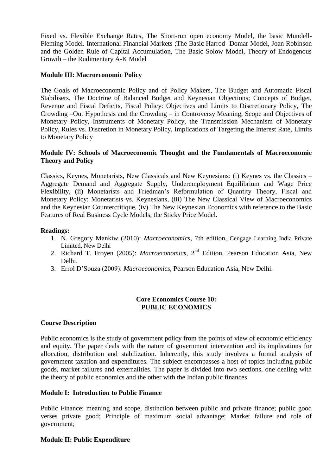Fixed vs. Flexible Exchange Rates, The Short-run open economy Model, the basic Mundell-Fleming Model. International Financial Markets ;The Basic Harrod- Domar Model, Joan Robinson and the Golden Rule of Capital Accumulation, The Basic Solow Model, Theory of Endogenous Growth – the Rudimentary A-K Model

#### **Module III: Macroeconomic Policy**

The Goals of Macroeconomic Policy and of Policy Makers, The Budget and Automatic Fiscal Stabilisers, The Doctrine of Balanced Budget and Keynesian Objections; Concepts of Budget, Revenue and Fiscal Deficits, Fiscal Policy: Objectives and Limits to Discretionary Policy, The Crowding –Out Hypothesis and the Crowding – in Controversy Meaning, Scope and Objectives of Monetary Policy, Instruments of Monetary Policy, the Transmission Mechanism of Monetary Policy, Rules vs. Discretion in Monetary Policy, Implications of Targeting the Interest Rate, Limits to Monetary Policy

#### **Module IV: Schools of Macroeconomic Thought and the Fundamentals of Macroeconomic Theory and Policy**

Classics, Keynes, Monetarists, New Classicals and New Keynesians: (i) Keynes vs. the Classics – Aggregate Demand and Aggregate Supply, Underemployment Equilibrium and Wage Price Flexibility, (ii) Monetarists and Friedman"s Reformulation of Quantity Theory, Fiscal and Monetary Policy: Monetarists vs. Keynesians, (iii) The New Classical View of Macroeconomics and the Keynesian Countercritique, (iv) The New Keynesian Economics with reference to the Basic Features of Real Business Cycle Models, the Sticky Price Model.

#### **Readings:**

- 1. N. Gregory Mankiw (2010): *Macroeconomics*, 7th edition, Cengage Learning India Private Limited, New Delhi
- 2. Richard T. Froyen (2005): *Macroeconomics*, 2nd Edition, Pearson Education Asia, New Delhi.
- 3. Errol D"Souza (2009): *Macroeconomics*, Pearson Education Asia, New Delhi.

#### **Core Economics Course 10: PUBLIC ECONOMICS**

#### **Course Description**

Public economics is the study of government policy from the points of view of economic efficiency and equity. The paper deals with the nature of government intervention and its implications for allocation, distribution and stabilization. Inherently, this study involves a formal analysis of government taxation and expenditures. The subject encompasses a host of topics including public goods, market failures and externalities. The paper is divided into two sections, one dealing with the theory of public economics and the other with the Indian public finances.

#### **Module I: Introduction to Public Finance**

Public Finance: meaning and scope, distinction between public and private finance; public good verses private good; Principle of maximum social advantage; Market failure and role of government;

#### **Module II: Public Expenditure**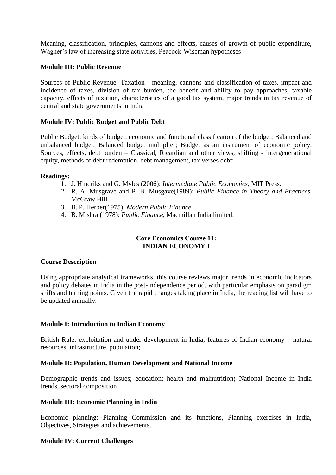Meaning, classification, principles, cannons and effects, causes of growth of public expenditure, Wagner"s law of increasing state activities, Peacock-Wiseman hypotheses

#### **Module III: Public Revenue**

Sources of Public Revenue; Taxation - meaning, cannons and classification of taxes, impact and incidence of taxes, division of tax burden, the benefit and ability to pay approaches, taxable capacity, effects of taxation, characteristics of a good tax system, major trends in tax revenue of central and state governments in India

#### **Module IV: Public Budget and Public Debt**

Public Budget: kinds of budget, economic and functional classification of the budget; Balanced and unbalanced budget; Balanced budget multiplier; Budget as an instrument of economic policy. Sources, effects, debt burden – Classical, Ricardian and other views, shifting - intergenerational equity, methods of debt redemption, debt management, tax verses debt;

#### **Readings:**

- 1. J. Hindriks and G. Myles (2006): *Intermediate Public Economics*, MIT Press.
- 2. R. A. Musgrave and P. B. Musgave(1989): *Public Finance in Theory and Practices.*  McGraw Hill
- 3. B. P. Herber(1975): *Modern Public Finance*.
- 4. B. Mishra (1978): *Public Finance*, Macmillan India limited.

#### **Core Economics Course 11: INDIAN ECONOMY I**

#### **Course Description**

Using appropriate analytical frameworks, this course reviews major trends in economic indicators and policy debates in India in the post-Independence period, with particular emphasis on paradigm shifts and turning points. Given the rapid changes taking place in India, the reading list will have to be updated annually.

#### **Module I: Introduction to Indian Economy**

British Rule: exploitation and under development in India; features of Indian economy – natural resources, infrastructure, population;

### **Module II: Population, Human Development and National Income**

Demographic trends and issues; education; health and malnutrition**;** National Income in India trends, sectoral composition

#### **Module III: Economic Planning in India**

Economic planning: Planning Commission and its functions, Planning exercises in India, Objectives, Strategies and achievements.

### **Module IV: Current Challenges**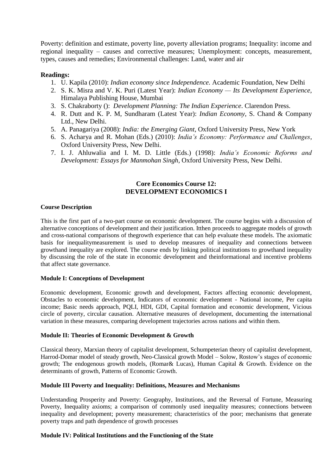Poverty: definition and estimate, poverty line, poverty alleviation programs; Inequality: income and regional inequality – causes and corrective measures; Unemployment: concepts, measurement, types, causes and remedies; Environmental challenges: Land, water and air

#### **Readings:**

- 1. U. Kapila (2010): *Indian economy since Independence.* Academic Foundation, New Delhi
- 2. S. K. Misra and V. K. Puri (Latest Year): *Indian Economy — Its Development Experience*, Himalaya Publishing House, Mumbai
- 3. S. Chakraborty (): *Development Planning: The Indian Experience*. Clarendon Press.
- 4. R. Dutt and K. P. M, Sundharam (Latest Year): *Indian Economy*, S. Chand & Company Ltd., New Delhi.
- 5. A. Panagariya (2008): *India: the Emerging Giant*, Oxford University Press, New York
- 6. S. Acharya and R. Mohan (Eds.) (2010): *India's Economy: Performance and Challenges*, Oxford University Press, New Delhi.
- 7. I. J. Ahluwalia and I. M. D. Little (Eds.) (1998): *India's Economic Reforms and Development: Essays for Manmohan Singh*, Oxford University Press, New Delhi.

#### **Core Economics Course 12: DEVELOPMENT ECONOMICS I**

#### **Course Description**

This is the first part of a two-part course on economic development. The course begins with a discussion of alternative conceptions of development and their justification. Itthen proceeds to aggregate models of growth and cross-national comparisons of thegrowth experience that can help evaluate these models. The axiomatic basis for inequalitymeasurement is used to develop measures of inequality and connections between growthand inequality are explored. The course ends by linking political institutions to growthand inequality by discussing the role of the state in economic development and theinformational and incentive problems that affect state governance.

#### **Module I: Conceptions of Development**

Economic development, Economic growth and development, Factors affecting economic development, Obstacles to economic development, Indicators of economic development - National income, Per capita income; Basic needs approach, PQLI, HDI, GDI, Capital formation and economic development, Vicious circle of poverty, circular causation. Alternative measures of development, documenting the international variation in these measures, comparing development trajectories across nations and within them.

#### **Module II: Theories of Economic Development & Growth**

Classical theory, Marxian theory of capitalist development, Schumpeterian theory of capitalist development, Harrod-Domar model of steady growth, Neo-Classical growth Model – Solow, Rostow"s stages of economic growth; The endogenous growth models, (Romar& Lucas), Human Capital & Growth. Evidence on the determinants of growth, Patterns of Economic Growth.

#### **Module III Poverty and Inequality: Definitions, Measures and Mechanisms**

Understanding Prosperity and Poverty: Geography, Institutions, and the Reversal of Fortune, Measuring Poverty, Inequality axioms; a comparison of commonly used inequality measures; connections between inequality and development; poverty measurement; characteristics of the poor; mechanisms that generate poverty traps and path dependence of growth processes

#### **Module IV: Political Institutions and the Functioning of the State**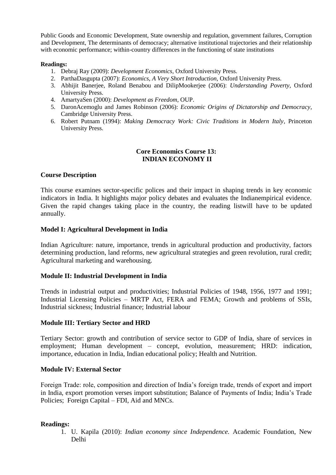Public Goods and Economic Development, State ownership and regulation, government failures, Corruption and Development, The determinants of democracy; alternative institutional trajectories and their relationship with economic performance; within-country differences in the functioning of state institutions

#### **Readings:**

- 1. Debraj Ray (2009): *Development Economics,* Oxford University Press.
- 2. ParthaDasgupta (2007): *Economics, A Very Short Introduction,* Oxford University Press.
- 3. Abhijit Banerjee, Roland Benabou and DilipMookerjee (2006): *Understanding Poverty,* Oxford University Press.
- 4. AmartyaSen (2000): *Development as Freedom,* OUP.
- 5. DaronAcemoglu and James Robinson (2006): *Economic Origins of Dictatorship and Democracy*, Cambridge University Press.
- 6. Robert Putnam (1994): *Making Democracy Work: Civic Traditions in Modern Italy*, Princeton University Press.

#### **Core Economics Course 13: INDIAN ECONOMY II**

#### **Course Description**

This course examines sector-specific polices and their impact in shaping trends in key economic indicators in India. It highlights major policy debates and evaluates the Indianempirical evidence. Given the rapid changes taking place in the country, the reading listwill have to be updated annually.

#### **Model I: Agricultural Development in India**

Indian Agriculture: nature, importance, trends in agricultural production and productivity, factors determining production, land reforms, new agricultural strategies and green revolution, rural credit; Agricultural marketing and warehousing.

#### **Module II: Industrial Development in India**

Trends in industrial output and productivities; Industrial Policies of 1948, 1956, 1977 and 1991; Industrial Licensing Policies – MRTP Act, FERA and FEMA; Growth and problems of SSIs, Industrial sickness; Industrial finance; Industrial labour

#### **Module III: Tertiary Sector and HRD**

Tertiary Sector: growth and contribution of service sector to GDP of India, share of services in employment; Human development – concept, evolution, measurement; HRD: indication, importance, education in India, Indian educational policy; Health and Nutrition.

#### **Module IV: External Sector**

Foreign Trade: role, composition and direction of India"s foreign trade, trends of export and import in India, export promotion verses import substitution; Balance of Payments of India; India"s Trade Policies; Foreign Capital – FDI, Aid and MNCs.

#### **Readings:**

1. U. Kapila (2010): *Indian economy since Independence.* Academic Foundation, New Delhi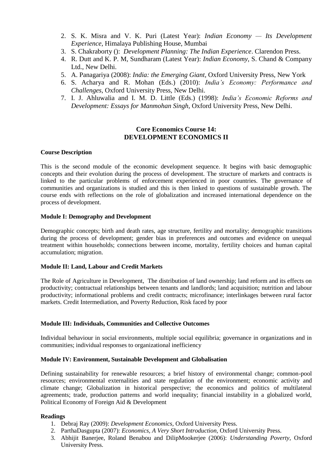- 2. S. K. Misra and V. K. Puri (Latest Year): *Indian Economy — Its Development Experience*, Himalaya Publishing House, Mumbai
- 3. S. Chakraborty (): *Development Planning: The Indian Experience*. Clarendon Press.
- 4. R. Dutt and K. P. M, Sundharam (Latest Year): *Indian Economy*, S. Chand & Company Ltd., New Delhi.
- 5. A. Panagariya (2008): *India: the Emerging Giant*, Oxford University Press, New York
- 6. S. Acharya and R. Mohan (Eds.) (2010): *India's Economy: Performance and Challenges*, Oxford University Press, New Delhi.
- 7. I. J. Ahluwalia and I. M. D. Little (Eds.) (1998): *India's Economic Reforms and Development: Essays for Manmohan Singh*, Oxford University Press, New Delhi.

### **Core Economics Course 14: DEVELOPMENT ECONOMICS II**

#### **Course Description**

This is the second module of the economic development sequence. It begins with basic demographic concepts and their evolution during the process of development. The structure of markets and contracts is linked to the particular problems of enforcement experienced in poor countries. The governance of communities and organizations is studied and this is then linked to questions of sustainable growth. The course ends with reflections on the role of globalization and increased international dependence on the process of development.

#### **Module I: Demography and Development**

Demographic concepts; birth and death rates, age structure, fertility and mortality; demographic transitions during the process of development; gender bias in preferences and outcomes and evidence on unequal treatment within households; connections between income, mortality, fertility choices and human capital accumulation; migration.

#### **Module II: Land, Labour and Credit Markets**

The Role of Agriculture in Development, The distribution of land ownership; land reform and its effects on productivity; contractual relationships between tenants and landlords; land acquisition; nutrition and labour productivity; informational problems and credit contracts; microfinance; interlinkages between rural factor markets. Credit Intermediation, and Poverty Reduction, Risk faced by poor

#### **Module III: Individuals, Communities and Collective Outcomes**

Individual behaviour in social environments, multiple social equilibria; governance in organizations and in communities; individual responses to organizational inefficiency

#### **Module IV: Environment, Sustainable Development and Globalisation**

Defining sustainability for renewable resources; a brief history of environmental change; common-pool resources; environmental externalities and state regulation of the environment; economic activity and climate change; Globalization in historical perspective; the economics and politics of multilateral agreements; trade, production patterns and world inequality; financial instability in a globalized world, Political Economy of Foreign Aid & Development

- 1. Debraj Ray (2009): *Development Economics,* Oxford University Press.
- 2. ParthaDasgupta (2007): *Economics, A Very Short Introduction,* Oxford University Press.
- 3. Abhijit Banerjee, Roland Benabou and DilipMookerjee (2006): *Understanding Poverty,* Oxford University Press.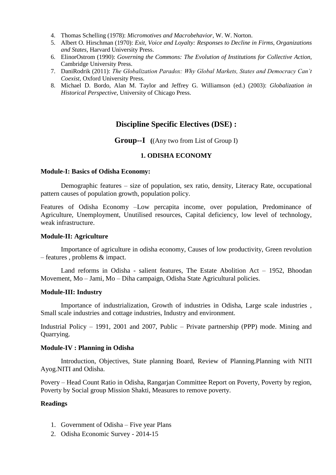- 4. Thomas Schelling (1978): *Micromotives and Macrobehavior*, W. W. Norton.
- 5. Albert O. Hirschman (1970): *Exit, Voice and Loyalty: Responses to Decline in Firms, Organizations and States,* Harvard University Press.
- 6. ElinorOstrom (1990): *Governing the Commons: The Evolution of Institutions for Collective Action,*  Cambridge University Press.
- 7. DaniRodrik (2011): *The Globalization Paradox: Why Global Markets, States and Democracy Can't Coexist*, Oxford University Press.
- 8. Michael D. Bordo, Alan M. Taylor and Jeffrey G. Williamson (ed.) (2003): *Globalization in Historical Perspective,* University of Chicago Press.

# **Discipline Specific Electives (DSE) :**

**Group--I (**(Any two from List of Group I)

#### **1. ODISHA ECONOMY**

#### **Module-I: Basics of Odisha Economy:**

Demographic features – size of population, sex ratio, density, Literacy Rate, occupational pattern causes of population growth, population policy.

Features of Odisha Economy –Low percapita income, over population, Predominance of Agriculture, Unemployment, Unutilised resources, Capital deficiency, low level of technology, weak infrastructure.

#### **Module-II: Agriculture**

Importance of agriculture in odisha economy, Causes of low productivity, Green revolution – features , problems & impact.

Land reforms in Odisha - salient features, The Estate Abolition Act – 1952, Bhoodan Movement, Mo – Jami, Mo – Diha campaign, Odisha State Agricultural policies.

#### **Module-III: Industry**

Importance of industrialization, Growth of industries in Odisha, Large scale industries , Small scale industries and cottage industries, Industry and environment.

Industrial Policy – 1991, 2001 and 2007, Public – Private partnership (PPP) mode. Mining and Quarrying.

#### **Module-IV : Planning in Odisha**

Introduction, Objectives, State planning Board, Review of Planning.Planning with NITI Ayog.NITI and Odisha.

Povery – Head Count Ratio in Odisha, Rangarjan Committee Report on Poverty, Poverty by region, Poverty by Social group Mission Shakti, Measures to remove poverty.

- 1. Government of Odisha Five year Plans
- 2. Odisha Economic Survey 2014-15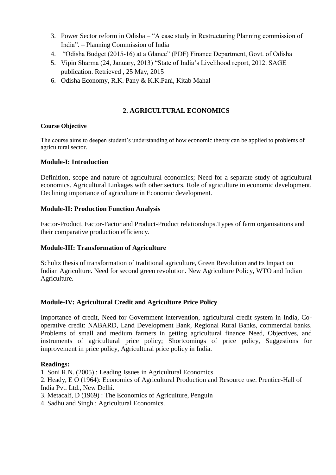- 3. Power Sector reform in Odisha "A case study in Restructuring Planning commission of India". – Planning Commission of India
- 4. "Odisha Budget (2015-16) at a Glance" (PDF) Finance Department, Govt. of Odisha
- 5. Vipin Sharma (24, January, 2013) "State of India"s Livelihood report, 2012. SAGE publication. Retrieved , 25 May, 2015
- 6. Odisha Economy, R.K. Pany & K.K.Pani, Kitab Mahal

# **2. AGRICULTURAL ECONOMICS**

#### **Course Objective**

The course aims to deepen student"s understanding of how economic theory can be applied to problems of agricultural sector.

### **Module-I: Introduction**

Definition, scope and nature of agricultural economics; Need for a separate study of agricultural economics. Agricultural Linkages with other sectors, Role of agriculture in economic development, Declining importance of agriculture in Economic development.

### **Module-II: Production Function Analysis**

Factor-Product, Factor-Factor and Product-Product relationships.Types of farm organisations and their comparative production efficiency.

### **Module-III: Transformation of Agriculture**

Schultz thesis of transformation of traditional agriculture, Green Revolution and its Impact on Indian Agriculture. Need for second green revolution. New Agriculture Policy, WTO and Indian Agriculture.

### **Module-IV: Agricultural Credit and Agriculture Price Policy**

Importance of credit, Need for Government intervention, agricultural credit system in India, Cooperative credit: NABARD, Land Development Bank, Regional Rural Banks, commercial banks. Problems of small and medium farmers in getting agricultural finance Need, Objectives, and instruments of agricultural price policy; Shortcomings of price policy, Suggestions for improvement in price policy, Agricultural price policy in India.

#### **Readings:**

1. Soni R.N. (2005) : Leading Issues in Agricultural Economics

2. Heady, E O (1964): Economics of Agricultural Production and Resource use. Prentice-Hall of India Pvt. Ltd., New Delhi.

3. Metacalf, D (1969) : The Economics of Agriculture, Penguin

4. Sadhu and Singh : Agricultural Economics.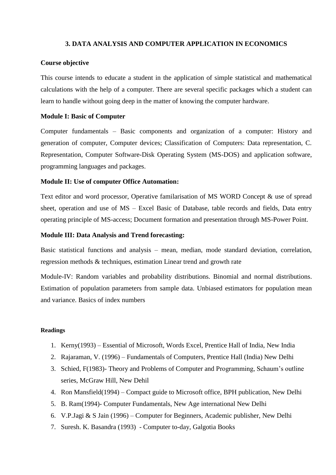#### **3. DATA ANALYSIS AND COMPUTER APPLICATION IN ECONOMICS**

#### **Course objective**

This course intends to educate a student in the application of simple statistical and mathematical calculations with the help of a computer. There are several specific packages which a student can learn to handle without going deep in the matter of knowing the computer hardware.

#### **Module I: Basic of Computer**

Computer fundamentals – Basic components and organization of a computer: History and generation of computer, Computer devices; Classification of Computers: Data representation, C. Representation, Computer Software-Disk Operating System (MS-DOS) and application software, programming languages and packages.

#### **Module II: Use of computer Office Automation:**

Text editor and word processor, Operative familarisation of MS WORD Concept & use of spread sheet, operation and use of MS – Excel Basic of Database, table records and fields, Data entry operating principle of MS-access; Document formation and presentation through MS-Power Point.

#### **Module III: Data Analysis and Trend forecasting:**

Basic statistical functions and analysis – mean, median, mode standard deviation, correlation, regression methods & techniques, estimation Linear trend and growth rate

Module-IV: Random variables and probability distributions. Binomial and normal distributions. Estimation of population parameters from sample data. Unbiased estimators for population mean and variance. Basics of index numbers

- 1. Kerny(1993) Essential of Microsoft, Words Excel, Prentice Hall of India, New India
- 2. Rajaraman, V. (1996) Fundamentals of Computers, Prentice Hall (India) New Delhi
- 3. Schied, F(1983)- Theory and Problems of Computer and Programming, Schaum"s outline series, McGraw Hill, New Dehil
- 4. Ron Mansfield(1994) Compact guide to Microsoft office, BPH publication, New Delhi
- 5. B. Ram(1994)- Computer Fundamentals, New Age international New Delhi
- 6. V.P.Jagi & S Jain (1996) Computer for Beginners, Academic publisher, New Delhi
- 7. Suresh. K. Basandra (1993) Computer to-day, Galgotia Books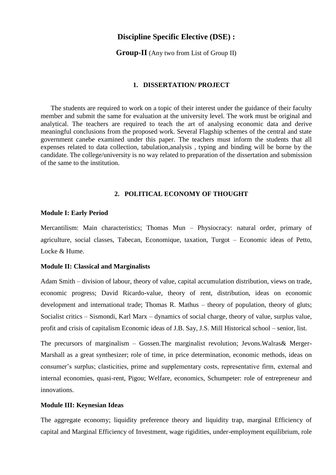#### **Discipline Specific Elective (DSE) :**

**Group-II** (Any two from List of Group II)

#### **1. DISSERTATION/ PROJECT**

The students are required to work on a topic of their interest under the guidance of their faculty member and submit the same for evaluation at the university level. The work must be original and analytical. The teachers are required to teach the art of analysing economic data and derive meaningful conclusions from the proposed work. Several Flagship schemes of the central and state government canebe examined under this paper. The teachers must inform the students that all expenses related to data collection, tabulation,analysis , typing and binding will be borne by the candidate. The college/university is no way related to preparation of the dissertation and submission of the same to the institution.

#### **2. POLITICAL ECONOMY OF THOUGHT**

#### **Module I: Early Period**

Mercantilism: Main characteristics; Thomas Mun – Physiocracy: natural order, primary of agriculture, social classes, Tabecan, Economique, taxation, Turgot – Economic ideas of Petto, Locke & Hume.

#### **Module II: Classical and Marginalists**

Adam Smith – division of labour, theory of value, capital accumulation distribution, views on trade, economic progress; David Ricardo-value, theory of rent, distribution, ideas on economic development and international trade; Thomas R. Mathus – theory of population, theory of gluts; Socialist critics – Sismondi, Karl Marx – dynamics of social charge, theory of value, surplus value, profit and crisis of capitalism Economic ideas of J.B. Say, J.S. Mill Historical school – senior, list.

The precursors of marginalism – Gossen.The marginalist revolution; Jevons.Walras& Merger-Marshall as a great synthesizer; role of time, in price determination, economic methods, ideas on consumer"s surplus; clasticities, prime and supplementary costs, representative firm, external and internal economies, quasi-rent, Pigou; Welfare, economics, Schumpeter: role of entrepreneur and innovations.

#### **Module III: Keynesian Ideas**

The aggregate economy; liquidity preference theory and liquidity trap, marginal Efficiency of capital and Marginal Efficiency of Investment, wage rigidities, under-employment equilibrium, role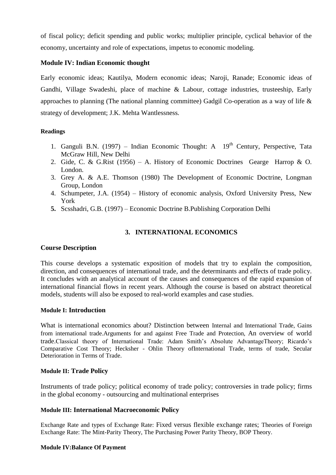of fiscal policy; deficit spending and public works; multiplier principle, cyclical behavior of the economy, uncertainty and role of expectations, impetus to economic modeling.

#### **Module IV: Indian Economic thought**

Early economic ideas; Kautilya, Modern economic ideas; Naroji, Ranade; Economic ideas of Gandhi, Village Swadeshi, place of machine & Labour, cottage industries, trusteeship, Early approaches to planning (The national planning committee) Gadgil Co-operation as a way of life  $\&$ strategy of development; J.K. Mehta Wantlessness.

#### **Readings**

- 1. Ganguli B.N. (1997) Indian Economic Thought: A  $19<sup>th</sup>$  Century, Perspective, Tata McGraw Hill, New Delhi
- 2. Gide, C. & G.Rist (1956) A. History of Economic Doctrines Gearge Harrop & O. London.
- 3. Grey A. & A.E. Thomson (1980) The Development of Economic Doctrine, Longman Group, London
- 4. Schumpeter, J.A. (1954) History of economic analysis, Oxford University Press, New York
- **5.** Scsshadri, G.B. (1997) Economic Doctrine B.Publishing Corporation Delhi

# **3. INTERNATIONAL ECONOMICS**

#### **Course Description**

This course develops a systematic exposition of models that try to explain the composition, direction, and consequences of international trade, and the determinants and effects of trade policy. It concludes with an analytical account of the causes and consequences of the rapid expansion of international financial flows in recent years. Although the course is based on abstract theoretical models, students will also be exposed to real-world examples and case studies.

#### **Module I: Introduction**

What is international economics about? Distinction between Internal and International Trade, Gains from international trade.Arguments for and against Free Trade and Protection, An overview of world trade.Classical theory of International Trade: Adam Smith"s Absolute AdvantageTheory; Ricardo"s Comparative Cost Theory; Hecksher - Ohlin Theory ofInternational Trade, terms of trade, Secular Deterioration in Terms of Trade.

#### **Module II: Trade Policy**

Instruments of trade policy; political economy of trade policy; controversies in trade policy; firms in the global economy - outsourcing and multinational enterprises

### **Module III: International Macroeconomic Policy**

Exchange Rate and types of Exchange Rate: Fixed versus flexible exchange rates; Theories of Foreign Exchange Rate: The Mint-Parity Theory, The Purchasing Power Parity Theory, BOP Theory.

#### **Module IV:Balance Of Payment**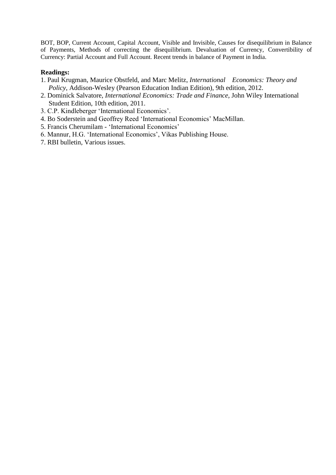BOT, BOP, Current Account, Capital Account, Visible and Invisible, Causes for disequilibrium in Balance of Payments, Methods of correcting the disequilibrium. Devaluation of Currency, Convertibility of Currency: Partial Account and Full Account. Recent trends in balance of Payment in India.

- 1. Paul Krugman, Maurice Obstfeld, and Marc Melitz, *International Economics: Theory and Policy*, Addison-Wesley (Pearson Education Indian Edition), 9th edition, 2012.
- 2. Dominick Salvatore, *International Economics: Trade and Finance*, John Wiley International Student Edition, 10th edition, 2011.
- 3. C.P. Kindleberger "International Economics".
- 4. Bo Soderstein and Geoffrey Reed "International Economics" MacMillan.
- 5. Francis Cherumilam "International Economics"
- 6. Mannur, H.G. "International Economics", Vikas Publishing House.
- 7. RBI bulletin, Various issues.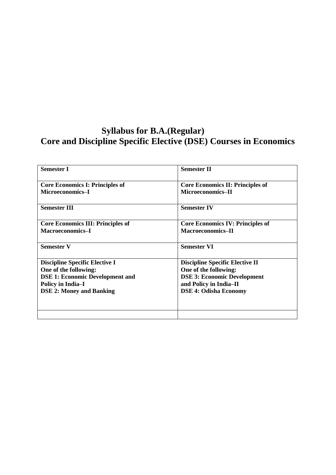# **Syllabus for B.A.(Regular) Core and Discipline Specific Elective (DSE) Courses in Economics**

| <b>Semester I</b>                        | <b>Semester II</b>                      |
|------------------------------------------|-----------------------------------------|
| <b>Core Economics I: Principles of</b>   | <b>Core Economics II: Principles of</b> |
| Microeconomics-I                         | Microeconomics-II                       |
| <b>Semester III</b>                      | <b>Semester IV</b>                      |
| <b>Core Economics III: Principles of</b> | <b>Core Economics IV: Principles of</b> |
| <b>Macroeconomics-I</b>                  | Macroeconomics-II                       |
| <b>Semester V</b>                        | <b>Semester VI</b>                      |
| <b>Discipline Specific Elective I</b>    | <b>Discipline Specific Elective II</b>  |
| One of the following:                    | One of the following:                   |
| <b>DSE 1: Economic Development and</b>   | <b>DSE 3: Economic Development</b>      |
| <b>Policy in India-I</b>                 | and Policy in India-II                  |
| <b>DSE 2: Money and Banking</b>          | <b>DSE 4: Odisha Economy</b>            |
|                                          |                                         |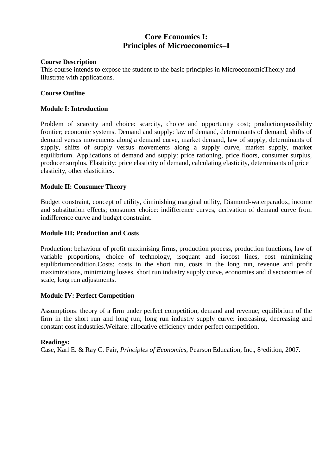# **Core Economics I: Principles of Microeconomics–I**

#### **Course Description**

This course intends to expose the student to the basic principles in MicroeconomicTheory and illustrate with applications.

#### **Course Outline**

#### **Module I: Introduction**

Problem of scarcity and choice: scarcity, choice and opportunity cost; productionpossibility frontier; economic systems. Demand and supply: law of demand, determinants of demand, shifts of demand versus movements along a demand curve, market demand, law of supply, determinants of supply, shifts of supply versus movements along a supply curve, market supply, market equilibrium. Applications of demand and supply: price rationing, price floors, consumer surplus, producer surplus. Elasticity: price elasticity of demand, calculating elasticity, determinants of price elasticity, other elasticities.

#### **Module II: Consumer Theory**

Budget constraint, concept of utility, diminishing marginal utility, Diamond-waterparadox, income and substitution effects; consumer choice: indifference curves, derivation of demand curve from indifference curve and budget constraint.

#### **Module III: Production and Costs**

Production: behaviour of profit maximising firms, production process, production functions, law of variable proportions, choice of technology, isoquant and isocost lines, cost minimizing equlibriumcondition.Costs: costs in the short run, costs in the long run, revenue and profit maximizations, minimizing losses, short run industry supply curve, economies and diseconomies of scale, long run adjustments.

#### **Module IV: Perfect Competition**

Assumptions: theory of a firm under perfect competition, demand and revenue; equilibrium of the firm in the short run and long run; long run industry supply curve: increasing, decreasing and constant cost industries.Welfare: allocative efficiency under perfect competition.

#### **Readings:**

Case, Karl E. & Ray C. Fair, *Principles of Economics*, Pearson Education, Inc., 8<sup>th</sup>edition, 2007.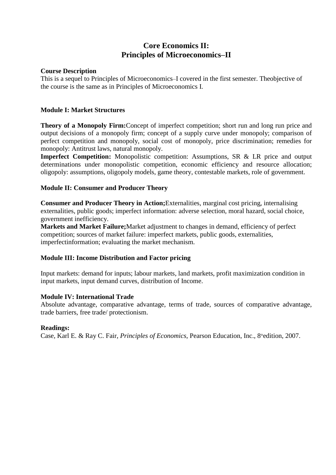# **Core Economics II: Principles of Microeconomics–II**

#### **Course Description**

This is a sequel to Principles of Microeconomics–I covered in the first semester. Theobjective of the course is the same as in Principles of Microeconomics I.

#### **Module I: Market Structures**

**Theory of a Monopoly Firm:**Concept of imperfect competition; short run and long run price and output decisions of a monopoly firm; concept of a supply curve under monopoly; comparison of perfect competition and monopoly, social cost of monopoly, price discrimination; remedies for monopoly: Antitrust laws, natural monopoly.

**Imperfect Competition:** Monopolistic competition: Assumptions, SR & LR price and output determinations under monopolistic competition, economic efficiency and resource allocation; oligopoly: assumptions, oligopoly models, game theory, contestable markets, role of government.

#### **Module II: Consumer and Producer Theory**

**Consumer and Producer Theory in Action;**Externalities, marginal cost pricing, internalising externalities, public goods; imperfect information: adverse selection, moral hazard, social choice, government inefficiency.

**Markets and Market Failure;**Market adjustment to changes in demand, efficiency of perfect competition; sources of market failure: imperfect markets, public goods, externalities, imperfectinformation; evaluating the market mechanism.

### **Module III: Income Distribution and Factor pricing**

Input markets: demand for inputs; labour markets, land markets, profit maximization condition in input markets, input demand curves, distribution of Income.

#### **Module IV: International Trade**

Absolute advantage, comparative advantage, terms of trade, sources of comparative advantage, trade barriers, free trade/ protectionism.

#### **Readings:**

Case, Karl E. & Ray C. Fair, *Principles of Economics*, Pearson Education, Inc., 8<sup>th</sup>edition, 2007.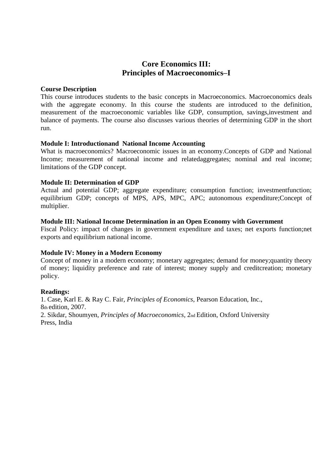# **Core Economics III: Principles of Macroeconomics–I**

#### **Course Description**

This course introduces students to the basic concepts in Macroeconomics. Macroeconomics deals with the aggregate economy. In this course the students are introduced to the definition, measurement of the macroeconomic variables like GDP, consumption, savings,investment and balance of payments. The course also discusses various theories of determining GDP in the short run.

#### **Module I: Introductionand National Income Accounting**

What is macroeconomics? Macroeconomic issues in an economy.Concepts of GDP and National Income; measurement of national income and relatedaggregates; nominal and real income; limitations of the GDP concept.

#### **Module II: Determination of GDP**

Actual and potential GDP; aggregate expenditure; consumption function; investmentfunction; equilibrium GDP; concepts of MPS, APS, MPC, APC; autonomous expenditure;Concept of multiplier.

#### **Module III: National Income Determination in an Open Economy with Government**

Fiscal Policy: impact of changes in government expenditure and taxes; net exports function;net exports and equilibrium national income.

#### **Module IV: Money in a Modern Economy**

Concept of money in a modern economy; monetary aggregates; demand for money;quantity theory of money; liquidity preference and rate of interest; money supply and creditcreation; monetary policy.

#### **Readings:**

1. Case, Karl E. & Ray C. Fair, *Principles of Economics*, Pearson Education, Inc., 8th edition, 2007. 2. Sikdar, Shoumyen, *Principles of Macroeconomics*, 2nd Edition, Oxford University Press, India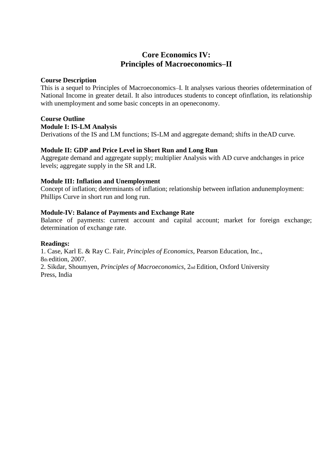# **Core Economics IV: Principles of Macroeconomics–II**

#### **Course Description**

This is a sequel to Principles of Macroeconomics–I. It analyses various theories ofdetermination of National Income in greater detail. It also introduces students to concept ofinflation, its relationship with unemployment and some basic concepts in an openeconomy.

#### **Course Outline**

#### **Module I: IS-LM Analysis**

Derivations of the IS and LM functions; IS-LM and aggregate demand; shifts in theAD curve.

#### **Module II: GDP and Price Level in Short Run and Long Run**

Aggregate demand and aggregate supply; multiplier Analysis with AD curve andchanges in price levels; aggregate supply in the SR and LR.

#### **Module III: Inflation and Unemployment**

Concept of inflation; determinants of inflation; relationship between inflation andunemployment: Phillips Curve in short run and long run.

#### **Module-IV: Balance of Payments and Exchange Rate**

Balance of payments: current account and capital account; market for foreign exchange; determination of exchange rate.

#### **Readings:**

1. Case, Karl E. & Ray C. Fair, *Principles of Economics*, Pearson Education, Inc., 8th edition, 2007.

2. Sikdar, Shoumyen, *Principles of Macroeconomics*, 2nd Edition, Oxford University Press, India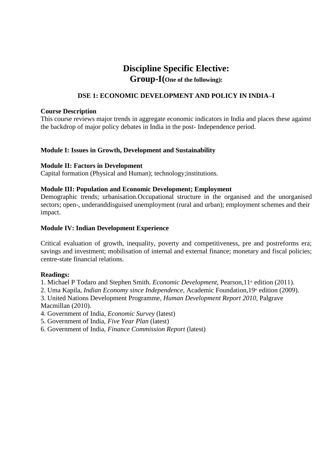# **Discipline Specific Elective: Group-I(One of the following):**

# **DSE 1: ECONOMIC DEVELOPMENT AND POLICY IN INDIA–I**

#### **Course Description**

This course reviews major trends in aggregate economic indicators in India and places these against the backdrop of major policy debates in India in the post- Independence period.

#### **Module I: Issues in Growth, Development and Sustainability**

#### **Module II: Factors in Development**

Capital formation (Physical and Human); technology;institutions.

#### **Module III: Population and Economic Development; Employment**

Demographic trends; urbanisation.Occupational structure in the organised and the unorganised sectors; open-, underanddisguised unemployment (rural and urban); employment schemes and their impact.

#### **Module IV: Indian Development Experience**

Critical evaluation of growth, inequality, poverty and competitiveness, pre and postreforms era; savings and investment; mobilisation of internal and external finance; monetary and fiscal policies; centre-state financial relations.

#### **Readings:**

1. Michael P Todaro and Stephen Smith. *Economic Development*, Pearson, 1<sup>th</sup> edition (2011).

2. Uma Kapila, *Indian Economy since Independence*, Academic Foundation, 19<sup>th</sup> edition (2009).

3. United Nations Development Programme, *Human Development Report 2010*, Palgrave Macmillan (2010).

- 4. Government of India, *Economic Survey* (latest)
- 5. Government of India, *Five Year Plan* (latest)
- 6. Government of India, *Finance Commission Report* (latest)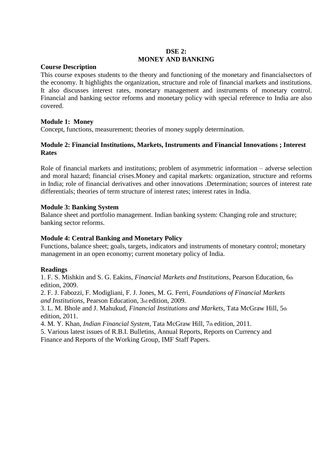## **DSE 2: MONEY AND BANKING**

#### **Course Description**

This course exposes students to the theory and functioning of the monetary and financialsectors of the economy. It highlights the organization, structure and role of financial markets and institutions. It also discusses interest rates, monetary management and instruments of monetary control. Financial and banking sector reforms and monetary policy with special reference to India are also covered.

#### **Module 1: Money**

Concept, functions, measurement; theories of money supply determination.

#### **Module 2: Financial Institutions, Markets, Instruments and Financial Innovations ; Interest Rates**

Role of financial markets and institutions; problem of asymmetric information – adverse selection and moral hazard; financial crises.Money and capital markets: organization, structure and reforms in India; role of financial derivatives and other innovations .Determination; sources of interest rate differentials; theories of term structure of interest rates; interest rates in India.

#### **Module 3: Banking System**

Balance sheet and portfolio management. Indian banking system: Changing role and structure; banking sector reforms.

#### **Module 4: Central Banking and Monetary Policy**

Functions, balance sheet; goals, targets, indicators and instruments of monetary control; monetary management in an open economy; current monetary policy of India.

#### **Readings**

1. F. S. Mishkin and S. G. Eakins, *Financial Markets and Institutions*, Pearson Education, 6th edition, 2009.

2. F. J. Fabozzi, F. Modigliani, F. J. Jones, M. G. Ferri, *Foundations of Financial Markets and Institutions*, Pearson Education, 3rd edition, 2009.

3. L. M. Bhole and J. Mahukud*, Financial Institutions and Markets,* Tata McGraw Hill, 5th edition, 2011.

4. M. Y. Khan, *Indian Financial System*, Tata McGraw Hill, 7th edition, 2011.

5. Various latest issues of R.B.I. Bulletins, Annual Reports, Reports on Currency and Finance and Reports of the Working Group, IMF Staff Papers.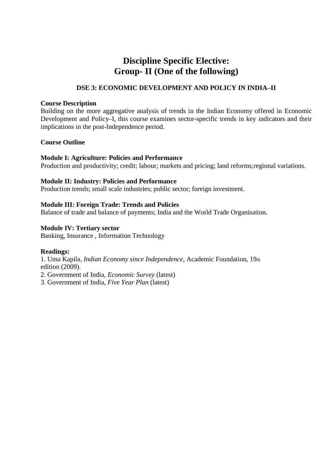# **Discipline Specific Elective: Group- II (One of the following)**

# **DSE 3: ECONOMIC DEVELOPMENT AND POLICY IN INDIA–II**

#### **Course Description**

Building on the more aggregative analysis of trends in the Indian Economy offered in Economic Development and Policy**–**I, this course examines sector-specific trends in key indicators and their implications in the post-Independence period.

#### **Course Outline**

#### **Module I: Agriculture: Policies and Performance**

Production and productivity; credit; labour; markets and pricing; land reforms;regional variations.

#### **Module II: Industry: Policies and Performance**

Production trends; small scale industries; public sector; foreign investment.

#### **Module III: Foreign Trade: Trends and Policies**

Balance of trade and balance of payments; India and the World Trade Organisation.

#### **Module IV: Tertiary sector**

Banking, Insurance , Information Technology

#### **Readings:**

1. Uma Kapila, *Indian Economy since Independence*, Academic Foundation, 19th edition (2009).

2. Government of India, *Economic Survey* (latest)

3. Government of India, *Five Year Plan* (latest)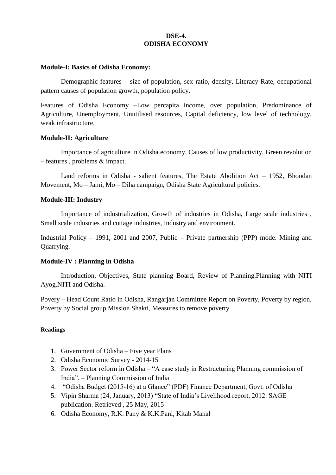## **DSE-4. ODISHA ECONOMY**

#### **Module-I: Basics of Odisha Economy:**

Demographic features – size of population, sex ratio, density, Literacy Rate, occupational pattern causes of population growth, population policy.

Features of Odisha Economy –Low percapita income, over population, Predominance of Agriculture, Unemployment, Unutilised resources, Capital deficiency, low level of technology, weak infrastructure.

#### **Module-II: Agriculture**

Importance of agriculture in Odisha economy, Causes of low productivity, Green revolution – features , problems & impact.

Land reforms in Odisha - salient features, The Estate Abolition Act – 1952, Bhoodan Movement, Mo – Jami, Mo – Diha campaign, Odisha State Agricultural policies.

#### **Module-III: Industry**

Importance of industrialization, Growth of industries in Odisha, Large scale industries , Small scale industries and cottage industries, Industry and environment.

Industrial Policy – 1991, 2001 and 2007, Public – Private partnership (PPP) mode. Mining and Quarrying.

#### **Module-IV : Planning in Odisha**

Introduction, Objectives, State planning Board, Review of Planning.Planning with NITI Ayog.NITI and Odisha.

Povery – Head Count Ratio in Odisha, Rangarjan Committee Report on Poverty, Poverty by region, Poverty by Social group Mission Shakti, Measures to remove poverty.

- 1. Government of Odisha Five year Plans
- 2. Odisha Economic Survey 2014-15
- 3. Power Sector reform in Odisha "A case study in Restructuring Planning commission of India". – Planning Commission of India
- 4. "Odisha Budget (2015-16) at a Glance" (PDF) Finance Department, Govt. of Odisha
- 5. Vipin Sharma (24, January, 2013) "State of India"s Livelihood report, 2012. SAGE publication. Retrieved , 25 May, 2015
- 6. Odisha Economy, R.K. Pany & K.K.Pani, Kitab Mahal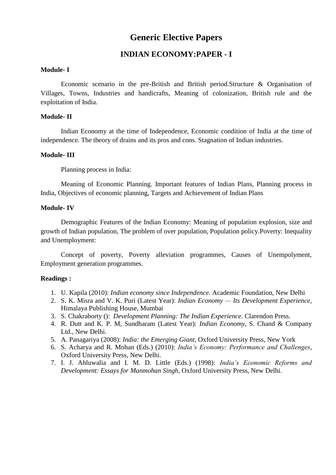# **Generic Elective Papers**

# **INDIAN ECONOMY:PAPER - I**

#### **Module- I**

Economic scenario in the pre-British and British period.Structure & Organisation of Villages, Towns, Industries and handicrafts, Meaning of colonization, British rule and the exploitation of India.

#### **Module- II**

Indian Economy at the time of Independence, Economic condition of India at the time of independence. The theory of drains and its pros and cons. Stagnation of Indian industries.

#### **Module- III**

Planning process in India:

Meaning of Economic Planning. Important features of Indian Plans, Planning process in India, Objectives of economic planning, Targets and Achievement of Indian Plans

#### **Module- IV**

Demographic Features of the Indian Economy: Meaning of population explosion, size and growth of Indian population, The problem of over population, Population policy.Poverty: Inequality and Unemployment:

Concept of poverty, Poverty alleviation programmes, Causes of Unempolyment, Employment generation programmes.

- 1. U. Kapila (2010): *Indian economy since Independence.* Academic Foundation, New Delhi
- 2. S. K. Misra and V. K. Puri (Latest Year): *Indian Economy — Its Development Experience*, Himalaya Publishing House, Mumbai
- 3. S. Chakraborty (): *Development Planning: The Indian Experience*. Clarendon Press.
- 4. R. Dutt and K. P. M, Sundharam (Latest Year): *Indian Economy*, S. Chand & Company Ltd., New Delhi.
- 5. A. Panagariya (2008): *India: the Emerging Giant*, Oxford University Press, New York
- 6. S. Acharya and R. Mohan (Eds.) (2010): *India's Economy: Performance and Challenges*, Oxford University Press, New Delhi.
- 7. I. J. Ahluwalia and I. M. D. Little (Eds.) (1998): *India's Economic Reforms and Development: Essays for Manmohan Singh*, Oxford University Press, New Delhi.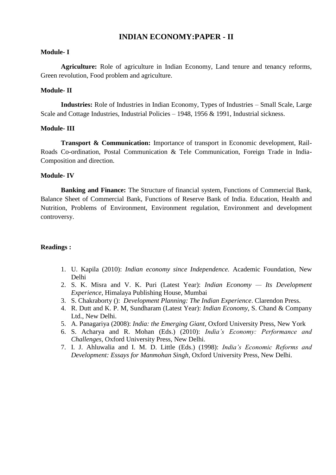# **INDIAN ECONOMY:PAPER - II**

#### **Module- I**

**Agriculture:** Role of agriculture in Indian Economy, Land tenure and tenancy reforms, Green revolution, Food problem and agriculture.

#### **Module- II**

**Industries:** Role of Industries in Indian Economy, Types of Industries – Small Scale, Large Scale and Cottage Industries, Industrial Policies – 1948, 1956 & 1991, Industrial sickness.

#### **Module- III**

**Transport & Communication:** Importance of transport in Economic development, Rail-Roads Co-ordination, Postal Communication & Tele Communication, Foreign Trade in India-Composition and direction.

#### **Module- IV**

**Banking and Finance:** The Structure of financial system, Functions of Commercial Bank, Balance Sheet of Commercial Bank, Functions of Reserve Bank of India. Education, Health and Nutrition, Problems of Environment, Environment regulation, Environment and development controversy.

- 1. U. Kapila (2010): *Indian economy since Independence.* Academic Foundation, New Delhi
- 2. S. K. Misra and V. K. Puri (Latest Year): *Indian Economy — Its Development Experience*, Himalaya Publishing House, Mumbai
- 3. S. Chakraborty (): *Development Planning: The Indian Experience*. Clarendon Press.
- 4. R. Dutt and K. P. M, Sundharam (Latest Year): *Indian Economy*, S. Chand & Company Ltd., New Delhi.
- 5. A. Panagariya (2008): *India: the Emerging Giant*, Oxford University Press, New York
- 6. S. Acharya and R. Mohan (Eds.) (2010): *India's Economy: Performance and Challenges*, Oxford University Press, New Delhi.
- 7. I. J. Ahluwalia and I. M. D. Little (Eds.) (1998): *India's Economic Reforms and Development: Essays for Manmohan Singh*, Oxford University Press, New Delhi.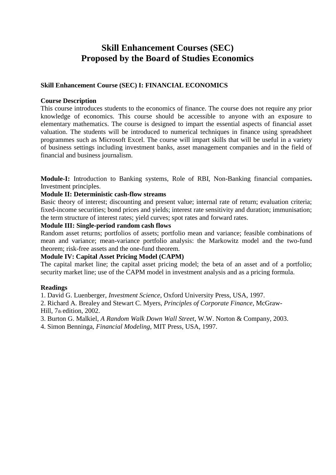# **Skill Enhancement Courses (SEC) Proposed by the Board of Studies Economics**

### **Skill Enhancement Course (SEC) I: FINANCIAL ECONOMICS**

#### **Course Description**

This course introduces students to the economics of finance. The course does not require any prior knowledge of economics. This course should be accessible to anyone with an exposure to elementary mathematics. The course is designed to impart the essential aspects of financial asset valuation. The students will be introduced to numerical techniques in finance using spreadsheet programmes such as Microsoft Excel. The course will impart skills that will be useful in a variety of business settings including investment banks, asset management companies and in the field of financial and business journalism.

**Module-I:** Introduction to Banking systems, Role of RBI, Non-Banking financial companies**.**  Investment principles.

#### **Module II: Deterministic cash-flow streams**

Basic theory of interest; discounting and present value; internal rate of return; evaluation criteria; fixed-income securities; bond prices and yields; interest rate sensitivity and duration; immunisation; the term structure of interest rates; yield curves; spot rates and forward rates.

#### **Module III: Single-period random cash flows**

Random asset returns; portfolios of assets; portfolio mean and variance; feasible combinations of mean and variance; mean-variance portfolio analysis: the Markowitz model and the two-fund theorem; risk-free assets and the one-fund theorem.

#### **Module IV: Capital Asset Pricing Model (CAPM)**

The capital market line; the capital asset pricing model; the beta of an asset and of a portfolio; security market line; use of the CAPM model in investment analysis and as a pricing formula.

#### **Readings**

1. David G. Luenberger, *Investment Science*, Oxford University Press, USA, 1997.

2. Richard A. Brealey and Stewart C. Myers, *Principles of Corporate Finance*, McGraw-Hill, 7th edition, 2002.

3. Burton G. Malkiel, *A Random Walk Down Wall Street*, W.W. Norton & Company, 2003.

4. Simon Benninga, *Financial Modeling*, MIT Press, USA, 1997.